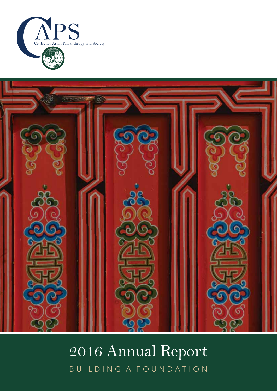



### 2016 Annual Report 2016 Annual Report BUILDING A FOUNDATION BUILDING A FOUNDATION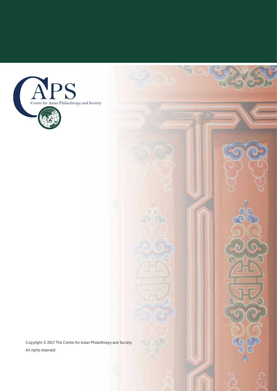

Copyright © 2017 The Centre for Asian Philanthropy and Society All rights reserved

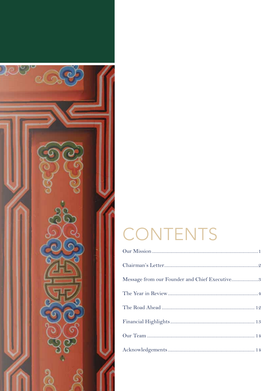

### CONTENTS

| Message from our Founder and Chief Executive3 |
|-----------------------------------------------|
|                                               |
|                                               |
|                                               |
|                                               |
|                                               |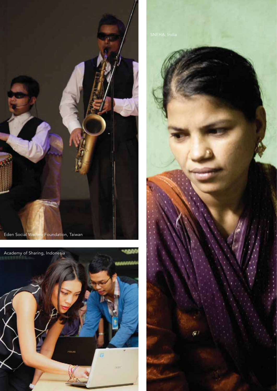



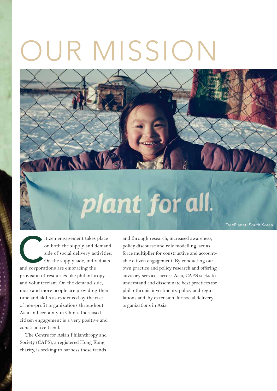## OUR MISSION



TreePlanet, South Korea

itizen engagement takes place<br>
on both the supply and deman-<br>
side of social delivery activitie<br>
On the supply side, individuals<br>
and corporations are embracing the on both the supply and demand side of social delivery activities. On the supply side, individuals provision of resources like philanthropy and volunteerism. On the demand side, more and more people are providing their time and skills as evidenced by the rise of non-profit organizations throughout Asia and certainly in China. Increased citizen engagement is a very positive and constructive trend.

The Centre for Asian Philanthropy and Society (CAPS), a registered Hong Kong charity, is seeking to harness these trends

and through research, increased awareness, policy discourse and role modelling, act as force multiplier for constructive and accountable citizen engagement. By conducting our own practice and policy research and offering advisory services across Asia, CAPS seeks to understand and disseminate best practices for philanthropic investments, policy and regulations and, by extension, for social delivery organizations in Asia.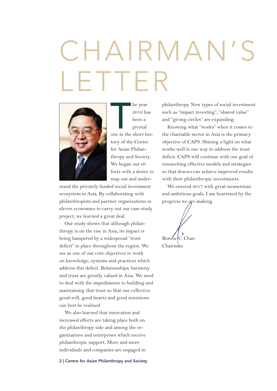## CHAIRMAN' LETTER



he year<br>
2016 has<br>
been a<br>
pivotal<br>
one in the short hishe year 2016 has been a pivotal

tory of the Centre for Asian Philanthropy and Society. We began our efforts with a desire to map out and under-

stand the privately funded social investment ecosystem in Asia. By collaborating with philanthropists and partner organizations in eleven economies to carry out our case study project, we learned a great deal.

Our study shows that although philanthropy is on the rise in Asia, its impact is being hampered by a widespread "trust deficit" in place throughout the region. We see as one of our core objectives to work on knowledge, systems and practices which address this deficit. Relationships, harmony and trust are greatly valued in Asia. We need to deal with the impediments to building and maintaining that trust so that our collective good-will, good hearts and good intentions can best be realized.

We also learned that innovation and increased efforts are taking place both on the philanthropy side and among the organizations and enterprises which receive philanthropic support. More and more individuals and companies are engaged in

philanthropy. New types of social investment such as "impact investing", "shared value" and "giving circles" are expanding.

Knowing what "works" when it comes to the charitable sector in Asia is the primary objective of CAPS. Shining a light on what works well is one way to address the trust deficit. CAPS will continue with our goal of researching effective models and strategies so that donors can achieve improved results with their philanthropic investments.

We entered 2017 with great momentum and ambitious goals. I am heartened by the progress we are making.

RonnielC. Chan Chairman

**2 | Centre for Asian Philanthropy and Society**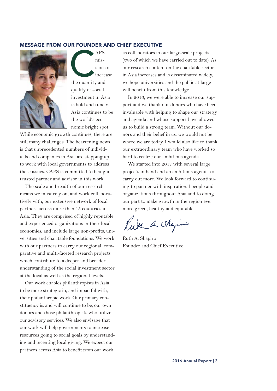#### **MESSAGE FROM OUR FOUNDER AND CHIEF EXECUTIVE**



APS'<br>
mis-<br>
sion t<br>
increa mission to increase quality of social investment in Asia is bold and timely. Asia continues to be the world's economic bright spot.

While economic growth continues, there are still many challenges. The heartening news is that unprecedented numbers of individuals and companies in Asia are stepping up to work with local governments to address these issues. CAPS is committed to being a trusted partner and advisor in this work.

The scale and breadth of our research means we must rely on, and work collaboratively with, our extensive network of local partners across more than 15 countries in Asia. They are comprised of highly reputable and experienced organizations in their local economies, and include large non-profits, universities and charitable foundations. We work with our partners to carry out regional, comparative and multi-faceted research projects which contribute to a deeper and broader understanding of the social investment sector at the local as well as the regional levels.

Our work enables philanthropists in Asia to be more strategic in, and impactful with, their philanthropic work. Our primary constituency is, and will continue to be, our own donors and those philanthropists who utilize our advisory services. We also envisage that our work will help governments to increase resources going to social goals by understanding and incenting local giving. We expect our partners across Asia to benefit from our work

as collaborators in our large-scale projects (two of which we have carried out to date). As our research content on the charitable sector in Asia increases and is disseminated widely, we hope universities and the public at large will benefit from this knowledge.

In 2016, we were able to increase our support and we thank our donors who have been invaluable with helping to shape our strategy and agenda and whose support have allowed us to build a strong team. Without our donors and their belief in us, we would not be where we are today. I would also like to thank our extraordinary team who have worked so hard to realize our ambitious agenda.

We started into 2017 with several large projects in hand and an ambitious agenda to carry out more. We look forward to continuing to partner with inspirational people and organizations throughout Asia and to doing our part to make growth in the region ever more green, healthy and equitable.

Kuth a skazin

Ruth A. Shapiro Founder and Chief Executive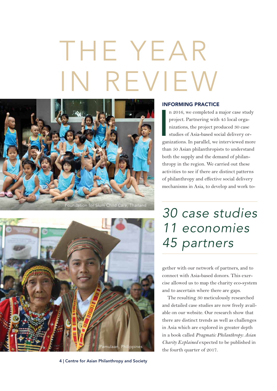# THE YEAR IN REVIEW





**4 | Centre for Asian Philanthropy and Society**

### **INFORMING PRACTICE**

I<br>I<br>I<br>I<br>I<br>I<br>I<br>I n 2016, we completed a major case study project. Partnering with 45 local organizations, the project produced 30 case studies of Asia-based social delivery organizations. In parallel, we interviewed more than 50 Asian philanthropists to understand both the supply and the demand of philanthropy in the region. We carried out these activities to see if there are distinct patterns of philanthropy and effective social delivery mechanisms in Asia, to develop and work to-

### 30 case studies 11 economies 45 partners

gether with our network of partners, and to connect with Asia-based donors. This exercise allowed us to map the charity eco-system and to ascertain where there are gaps.

The resulting 30 meticulously researched and detailed case studies are now freely available on our website. Our research show that there are distinct trends as well as challenges in Asia which are explored in greater depth in a book called *Pragmatic Philanthropy: Asian Charity Explained* expected to be published in the fourth quarter of 2017.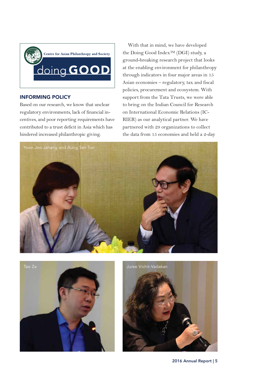

### **INFORMING POLICY**

Based on our research, we know that unclear regulatory environments, lack of financial incentives, and poor reporting requirements have contributed to a trust deficit in Asia which has hindered increased philanthropic giving.

With that in mind, we have developed the Doing Good Index™ (DGI) study, a ground-breaking research project that looks at the enabling environment for philanthropy through indicators in four major areas in 15 Asian economies – regulatory, tax and fiscal policies, procurement and ecosystem. With support from the Tata Trusts, we were able to bring on the Indian Council for Research on International Economic Relations (IC-RIER) as our analytical partner. We have partnered with 29 organizations to collect the data from 15 economies and held a 2-day







**2016 Annual Report | 5**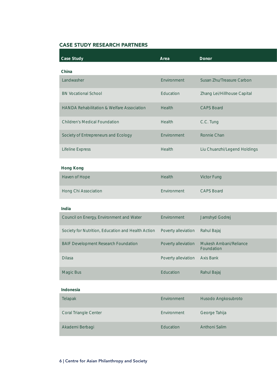### **CASE STUDY RESEARCH PARTNERS**

| <b>Case Study</b>                                     | Area                          | Donor                                |
|-------------------------------------------------------|-------------------------------|--------------------------------------|
| China                                                 |                               |                                      |
| Landwasher                                            | Environment                   | Susan Zhu/Treasure Carbon            |
| <b>BN Vocational School</b>                           | Education                     | Zhang Lei/Hillhouse Capital          |
| <b>HANDA Rehabilitation &amp; Welfare Association</b> | Health                        | <b>CAPS Board</b>                    |
| <b>Children's Medical Foundation</b>                  | Health                        | C.C. Tung                            |
| Society of Entrepreneurs and Ecology                  | Environment                   | Ronnie Chan                          |
| <b>Lifeline Express</b>                               | Health                        | Liu Chuanzhi/Legend Holdings         |
| <b>Hong Kong</b>                                      |                               |                                      |
| Haven of Hope                                         | Health                        | Victor Fung                          |
| Hong Chi Association                                  | Environment                   | <b>CAPS Board</b>                    |
| India                                                 |                               |                                      |
| Council on Energy, Environment and Water              | Environment                   | Jamshyd Godrej                       |
| Society for Nutrition, Education and Health Action    | Poverty alleviation           | Rahul Bajaj                          |
| <b>BAIF Development Research Foundation</b>           | Poverty alleviation           | Mukesh Ambani/Reliance<br>Foundation |
| Dilasa                                                | Poverty alleviation Axis Bank |                                      |
| Magic Bus                                             | Education                     | Rahul Bajaj                          |
| Indonesia                                             |                               |                                      |
| Telapak                                               | Environment                   | Husodo Angkosubroto                  |
| Coral Triangle Center                                 | Environment                   | George Tahija                        |
| Akademi Berbagi                                       | Education                     | Anthoni Salim                        |

### **6 | Centre for Asian Philanthropy and Society**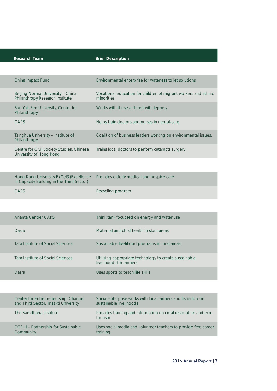| <b>Research Team</b> |  |
|----------------------|--|
|----------------------|--|

### earch Team Brief Description

| China Impact Fund                                                    | Environmental enterprise for waterless toilet solutions                       |
|----------------------------------------------------------------------|-------------------------------------------------------------------------------|
| Beijing Normal University - China<br>Philanthropy Research Institute | Vocational education for children of migrant workers and ethnic<br>minorities |
| Sun Yat-Sen University, Center for<br>Philanthropy                   | Works with those afflicted with leprosy                                       |
| CAPS                                                                 | Helps train doctors and nurses in neotal-care                                 |
| Tsinghua University - Institute of<br>Philanthropy                   | Coalition of business leaders working on environmental issues.                |
| Centre for Civil Society Studies, Chinese<br>University of Hong Kong | Trains local doctors to perform cataracts surgery                             |

| Hong Kong University ExCel3 (Excellence<br>in Capacity Building in the Third Sector) | Provides elderly medical and hospice care |
|--------------------------------------------------------------------------------------|-------------------------------------------|
| <b>CAPS</b>                                                                          | Recycling program                         |

| Ananta Centre/ CAPS               | Think tank focucsed on energy and water use                                       |
|-----------------------------------|-----------------------------------------------------------------------------------|
| Dasra                             | Maternal and child health in slum areas                                           |
| Tata Institute of Social Sciences | Sustainable livelihood programs in rural areas                                    |
| Tata Institute of Social Sciences | Utilizing appropriate technology to create sustainable<br>livelihoods for farmers |
| Dasra                             | Uses sports to teach life skills                                                  |

| Center for Entrepreneurship, Change        | Social enterprise works with local farmers and fisherfolk on               |
|--------------------------------------------|----------------------------------------------------------------------------|
| and Third Sector, Trisakti University      | sustainable livelihoods                                                    |
| The Samdhana Institute                     | Provides training and information on coral restoration and eco-<br>tourism |
| <b>CCPHI</b> – Partnership for Sustainable | Uses social media and volunteer teachers to provide free career            |
| Community                                  | training                                                                   |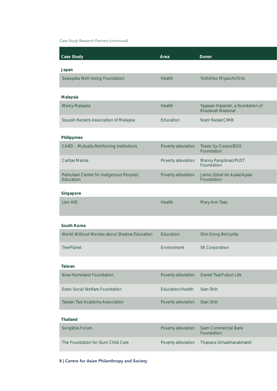### Case Study Research Partners (continued)

| <b>Case Study</b>                                    | Area                | <b>Donor</b>                                          |
|------------------------------------------------------|---------------------|-------------------------------------------------------|
| Japan                                                |                     |                                                       |
| Sawayaka Well-being Foundation                       | Health              | Yoshihiko Miyauchi/Orix                               |
| Malaysia                                             |                     |                                                       |
| Mercy Malaysia                                       | Health              | Yayasan Hasanah, a foundation of<br>Khazanah Nasional |
| Squash Rackets Association of Malaysia               | Education           | Nazir Razak/CIMB                                      |
| Philippines                                          |                     |                                                       |
| <b>CARD - Mutually Reinforcing Institutions</b>      | Poverty alleviation | Tessie Sy-Coson/BDO<br>Foundation                     |
| Caritas Manila                                       | Poverty alleviation | Manny Pangilinan/PLDT<br>Foundation                   |
| Pamulaan Center for Indigenous Peoples'<br>Education | Poverty alleviation | Jaime Zobel de Ayala/Ayala<br>Foundation              |
| Singapore                                            |                     |                                                       |
| Lien AID                                             | Health              | Mary Ann Tsao                                         |
|                                                      |                     |                                                       |
| South Korea                                          |                     |                                                       |
| World Without Worries about Shadow Education         | Education           | Shin Dong Bin/Lotte                                   |
| TreePlanet                                           | Environment         | <b>SK Corporation</b>                                 |
| Taiwan                                               |                     |                                                       |
| <b>New Homeland Foundation</b>                       | Poverty alleviation | Daniel Tsai/Fubon Life                                |
| <b>Eden Social Welfare Foundation</b>                | Education/Health    | Stan Shih                                             |
| Taiwan Taxi Academy Association                      | Poverty alleviation | Stan Shih                                             |
| <b>Thailand</b>                                      |                     |                                                       |
| Songkhla Forum                                       | Poverty alleviation | <b>Siam Commercial Bank</b><br>Foundation             |
| The Foundation for Slum Child Care                   | Poverty alleviation | Thapana Sirivadhanabhakdi                             |

### **8 | Centre for Asian Philanthropy and Society**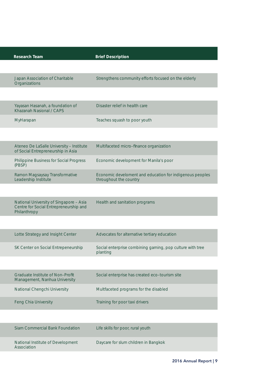| <b>Research Team</b>                                                                              | <b>Brief Description</b>                                                           |
|---------------------------------------------------------------------------------------------------|------------------------------------------------------------------------------------|
|                                                                                                   |                                                                                    |
| Japan Association of Charitable<br>Organizations                                                  | Strengthens community efforts focused on the elderly                               |
|                                                                                                   |                                                                                    |
| Yayasan Hasanah, a foundation of<br>Khazanah Nasional / CAPS                                      | Disaster relief in health care                                                     |
| MyHarapan                                                                                         | Teaches squash to poor youth                                                       |
|                                                                                                   |                                                                                    |
| Ateneo De LaSalle University - Institute<br>of Social Entrepreneurship in Asia                    | Multifaceted micro-finance organization                                            |
| Philippine Business for Social Progress<br>(PBSP)                                                 | Economic development for Manila's poor                                             |
| Ramon Magsaysay Transformative<br>Leadership Institute                                            | Economic develoment and education for indigenous peoples<br>throughout the country |
|                                                                                                   |                                                                                    |
| National University of Singapore - Asia<br>Centre for Social Entrepreneurship and<br>Philanthropy | Health and sanitation programs                                                     |
|                                                                                                   |                                                                                    |
| Lotte Strategy and Insight Center                                                                 | Advocates for alternative tertiary education                                       |
| SK Center on Social Entrepeneurship                                                               | Social enterprise combining gaming, pop culture with tree<br>planting              |
|                                                                                                   |                                                                                    |
| Graduate Institute of Non-Profit<br>Management, Nanhua University                                 | Social enterprise has created eco-tourism site                                     |
| National Chengchi University                                                                      | Multfaceted programs for the disabled                                              |
| Feng Chia University                                                                              | Training for poor taxi drivers                                                     |
|                                                                                                   |                                                                                    |
| Siam Commercial Bank Foundation                                                                   | Life skills for poor, rural youth                                                  |
| National Institute of Development<br>Association                                                  | Daycare for slum children in Bangkok                                               |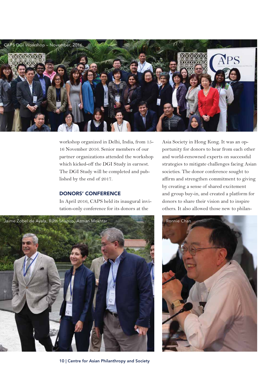

workshop organized in Delhi, India, from 15- 16 November 2016. Senior members of our partner organizations attended the workshop which kicked-off the DGI Study in earnest. The DGI Study will be completed and published by the end of 2017.

### **DONORS' CONFERENCE**

In April 2016, CAPS held its inaugural invitation-only conference for its donors at the

Asia Society in Hong Kong. It was an opportunity for donors to hear from each other and world-renowned experts on successful strategies to mitigate challenges facing Asian societies. The donor conference sought to affirm and strengthen commitment to giving by creating a sense of shared excitement and group buy-in, and created a platform for donors to share their vision and to inspire others. It also allowed those new to philan-



**10 | Centre for Asian Philanthropy and Society**

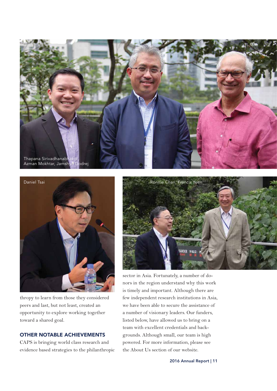



thropy to learn from those they considered peers and last, but not least, created an opportunity to explore working together toward a shared goal.

### **OTHER NOTABLE ACHIEVEMENTS**

CAPS is bringing world class research and evidence based strategies to the philanthropic



sector in Asia. Fortunately, a number of donors in the region understand why this work is timely and important. Although there are few independent research institutions in Asia, we have been able to secure the assistance of a number of visionary leaders. Our funders, listed below, have allowed us to bring on a team with excellent credentials and backgrounds. Although small, our team is high powered. For more information, please see the About Us section of our website.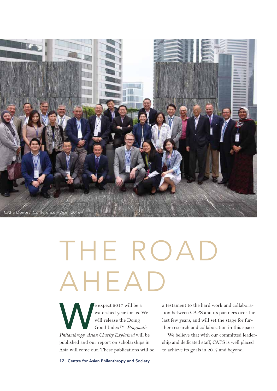

# THE ROAD AHEAD

expect 2017 will be a<br>
watershed year for us. We<br>
will release the Doing<br>
Good Index<sup>TM</sup>. Pragmatic<br>
Philanthropy: Asian Charity Explained will be watershed year for us. We will release the Doing Good Index™. *Pragmatic*  published and our report on scholarships in Asia will come out. These publications will be

a testament to the hard work and collaboration between CAPS and its partners over the last few years, and will set the stage for further research and collaboration in this space.

We believe that with our committed leadership and dedicated staff, CAPS is well placed to achieve its goals in 2017 and beyond.

**12 | Centre for Asian Philanthropy and Society**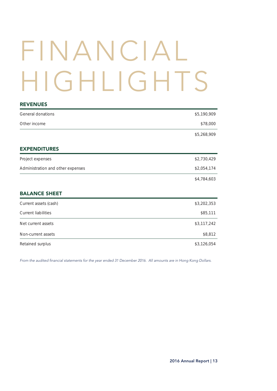# FINANCIAL HIGHLIGHTS

| <b>REVENUES</b>                   |             |
|-----------------------------------|-------------|
| General donations                 | \$5,190,909 |
| Other income                      | \$78,000    |
|                                   | \$5,268,909 |
| <b>EXPENDITURES</b>               |             |
| Project expenses                  | \$2,730,429 |
| Administration and other expenses | \$2,054,174 |
|                                   | \$4,784,603 |
| <b>BALANCE SHEET</b>              |             |
| Current assets (cash)             | \$3,202,353 |
| <b>Current liabilities</b>        | \$85,111    |
| Net current assets                | \$3,117,242 |
| Non-current assets                | \$8,812     |
| Retained surplus                  | \$3,126,054 |
|                                   |             |

From the audited financial statements for the year ended 31 December 2016. All amounts are in Hong Kong Dollars.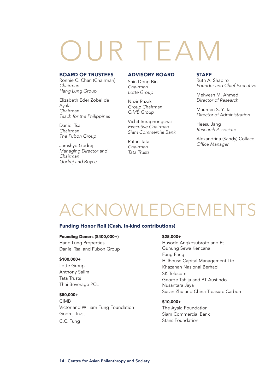## R TEA

### **BOARD OF TRUSTEES**

Ronnie C. Chan (Chairman) Chairman Hang Lung Group

Elizabeth Eder Zobel de Ayala Chairman Teach for the Philippines

Daniel Tsai Chairman The Fubon Group

Jamshyd Godrej Managing Director and Chairman Godrej and Boyce

### **ADVISORY BOARD**

Shin Dong Bin Chairman Lotte Group

Nazir Razak Group Chairman CIMB Group

Vichit Suraphongchai Executive Chairman Siam Commercial Bank

Ratan Tata Chairman Tata Trusts

#### **STAFF**

Ruth A. Shapiro Founder and Chief Executive

Mehvesh M. Ahmed Director of Research

Maureen S. Y. Tai Director of Administration

Heesu Jang Research Associate

Alexandrina (Sandy) Collaco Office Manager

### ACKNOWLEDGEMEN

### **Funding Honor Roll (Cash, In-kind contributions)**

#### **Founding Donors (\$400,000+)**

Hang Lung Properties Daniel Tsai and Fubon Group

#### **\$100,000+**

Lotte Group Anthony Salim Tata Trusts Thai Beverage PCL

### **\$50,000+**

CIMB Victor and William Fung Foundation Godrej Trust C.C. Tung

#### **\$25,000+**

Husodo Angkosubroto and Pt. Gunung Sewa Kencana Fang Fang Hillhouse Capital Management Ltd. Khazanah Nasional Berhad SK Telecom George Tahija and PT Austindo Nusantara Jaya Susan Zhu and China Treasure Carbon

### **\$10,000+**

The Ayala Foundation Siam Commercial Bank Stans Foundation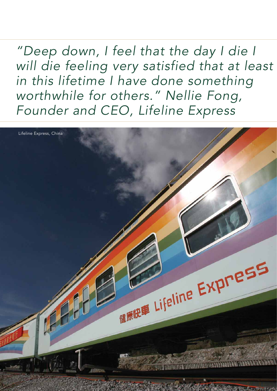"Deep down, I feel that the day I die I will die feeling very satisfied that at least in this lifetime I have done something worthwhile for others." Nellie Fong, Founder and CEO, Lifeline Express